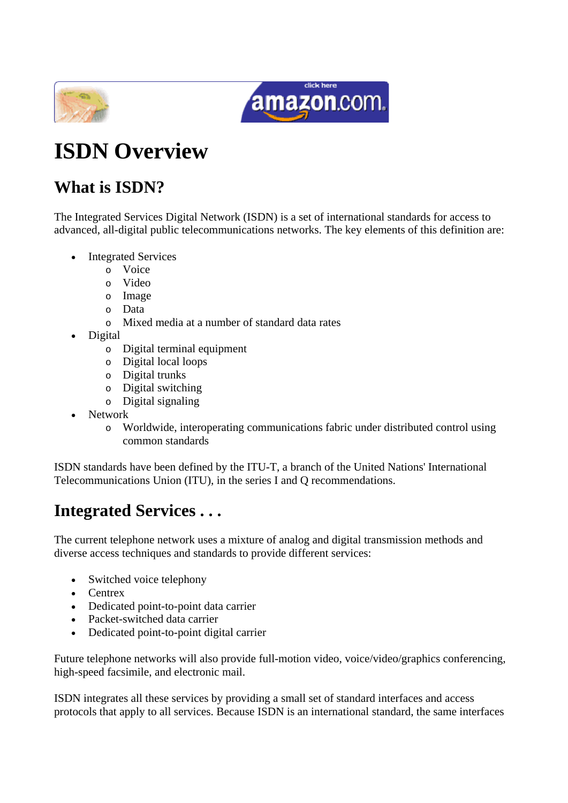



# **ISDN Overview**

# **What is ISDN?**

The Integrated Services Digital Network (ISDN) is a set of international standards for access to advanced, all-digital public telecommunications networks. The key elements of this definition are:

- **Integrated Services** 
	- o Voice
	- o Video
	- o Image
	- o Data
	- o Mixed media at a number of standard data rates
- Digital
	- o Digital terminal equipment
	- o Digital local loops
	- o Digital trunks
	- o Digital switching
	- o Digital signaling
- Network
	- o Worldwide, interoperating communications fabric under distributed control using common standards

ISDN standards have been defined by the ITU-T, a branch of the United Nations' International Telecommunications Union (ITU), in the series I and Q recommendations.

# **Integrated Services . . .**

The current telephone network uses a mixture of analog and digital transmission methods and diverse access techniques and standards to provide different services:

- Switched voice telephony
- Centrex
- Dedicated point-to-point data carrier
- Packet-switched data carrier
- Dedicated point-to-point digital carrier

Future telephone networks will also provide full-motion video, voice/video/graphics conferencing, high-speed facsimile, and electronic mail.

ISDN integrates all these services by providing a small set of standard interfaces and access protocols that apply to all services. Because ISDN is an international standard, the same interfaces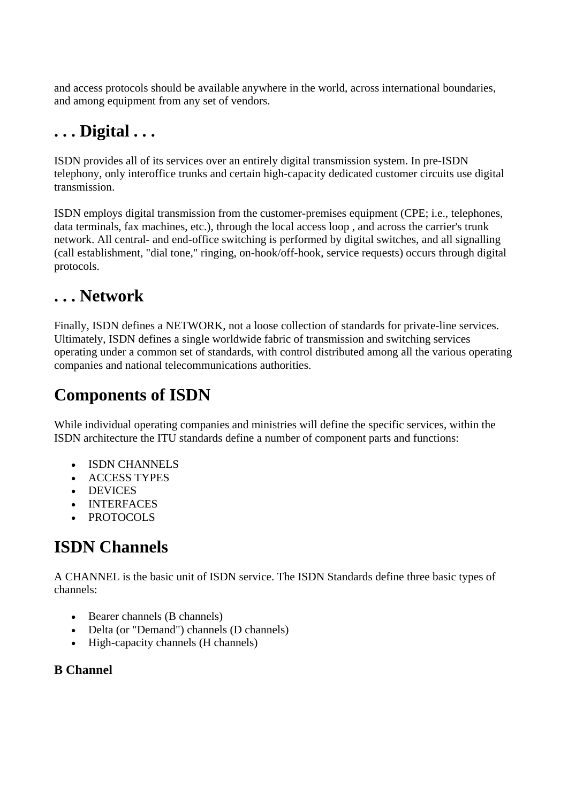and access protocols should be available anywhere in the world, across international boundaries, and among equipment from any set of vendors.

# **. . . Digital . . .**

ISDN provides all of its services over an entirely digital transmission system. In pre-ISDN telephony, only interoffice trunks and certain high-capacity dedicated customer circuits use digital transmission.

ISDN employs digital transmission from the customer-premises equipment (CPE; i.e., telephones, data terminals, fax machines, etc.), through the local access loop , and across the carrier's trunk network. All central- and end-office switching is performed by digital switches, and all signalling (call establishment, "dial tone," ringing, on-hook/off-hook, service requests) occurs through digital protocols.

# **. . . Network**

Finally, ISDN defines a NETWORK, not a loose collection of standards for private-line services. Ultimately, ISDN defines a single worldwide fabric of transmission and switching services operating under a common set of standards, with control distributed among all the various operating companies and national telecommunications authorities.

# **Components of ISDN**

While individual operating companies and ministries will define the specific services, within the ISDN architecture the ITU standards define a number of component parts and functions:

- ISDN CHANNELS
- ACCESS TYPES
- DEVICES
- INTERFACES
- PROTOCOLS

# **ISDN Channels**

A CHANNEL is the basic unit of ISDN service. The ISDN Standards define three basic types of channels:

- Bearer channels (B channels)
- Delta (or "Demand") channels (D channels)
- High-capacity channels (H channels)

# **B Channel**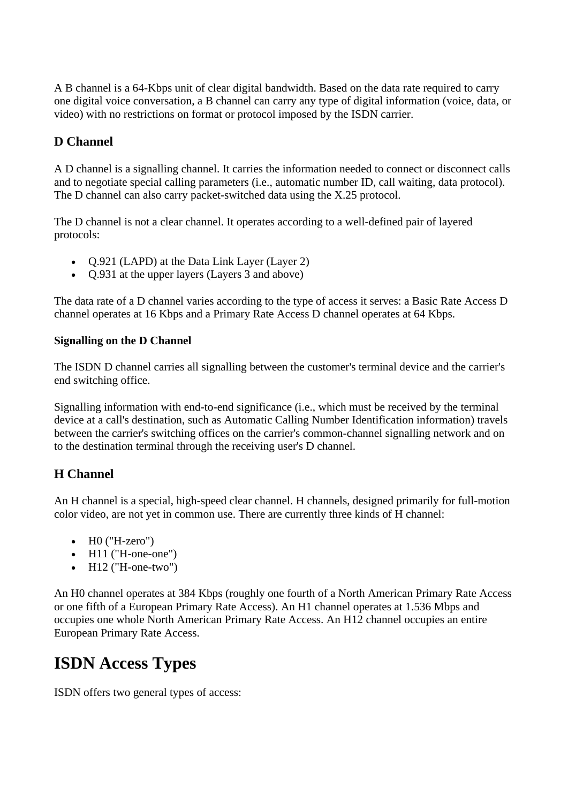A B channel is a 64-Kbps unit of clear digital bandwidth. Based on the data rate required to carry one digital voice conversation, a B channel can carry any type of digital information (voice, data, or video) with no restrictions on format or protocol imposed by the ISDN carrier.

### **D Channel**

A D channel is a signalling channel. It carries the information needed to connect or disconnect calls and to negotiate special calling parameters (i.e., automatic number ID, call waiting, data protocol). The D channel can also carry packet-switched data using the X.25 protocol.

The D channel is not a clear channel. It operates according to a well-defined pair of layered protocols:

- Q.921 (LAPD) at the Data Link Layer (Layer 2)
- Q.931 at the upper layers (Layers 3 and above)

The data rate of a D channel varies according to the type of access it serves: a Basic Rate Access D channel operates at 16 Kbps and a Primary Rate Access D channel operates at 64 Kbps.

#### **Signalling on the D Channel**

The ISDN D channel carries all signalling between the customer's terminal device and the carrier's end switching office.

Signalling information with end-to-end significance (i.e., which must be received by the terminal device at a call's destination, such as Automatic Calling Number Identification information) travels between the carrier's switching offices on the carrier's common-channel signalling network and on to the destination terminal through the receiving user's D channel.

### **H Channel**

An H channel is a special, high-speed clear channel. H channels, designed primarily for full-motion color video, are not yet in common use. There are currently three kinds of H channel:

- $\bullet$  H0 ("H-zero")
- $\bullet$  H11 ("H-one-one")
- $\bullet$  H12 ("H-one-two")

An H0 channel operates at 384 Kbps (roughly one fourth of a North American Primary Rate Access or one fifth of a European Primary Rate Access). An H1 channel operates at 1.536 Mbps and occupies one whole North American Primary Rate Access. An H12 channel occupies an entire European Primary Rate Access.

# **ISDN Access Types**

ISDN offers two general types of access: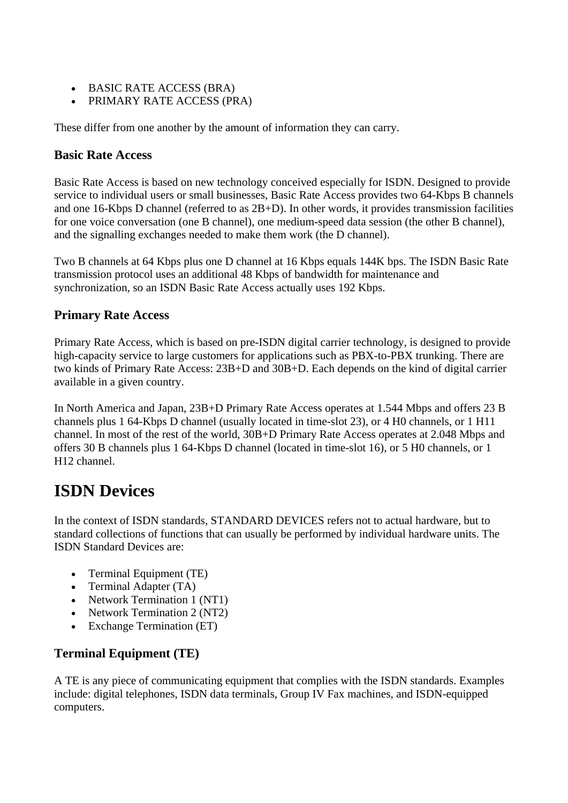- BASIC RATE ACCESS (BRA)
- PRIMARY RATE ACCESS (PRA)

These differ from one another by the amount of information they can carry.

### **Basic Rate Access**

Basic Rate Access is based on new technology conceived especially for ISDN. Designed to provide service to individual users or small businesses. Basic Rate Access provides two 64-Kbps B channels and one 16-Kbps D channel (referred to as 2B+D). In other words, it provides transmission facilities for one voice conversation (one B channel), one medium-speed data session (the other B channel), and the signalling exchanges needed to make them work (the D channel).

Two B channels at 64 Kbps plus one D channel at 16 Kbps equals 144K bps. The ISDN Basic Rate transmission protocol uses an additional 48 Kbps of bandwidth for maintenance and synchronization, so an ISDN Basic Rate Access actually uses 192 Kbps.

# **Primary Rate Access**

Primary Rate Access, which is based on pre-ISDN digital carrier technology, is designed to provide high-capacity service to large customers for applications such as PBX-to-PBX trunking. There are two kinds of Primary Rate Access: 23B+D and 30B+D. Each depends on the kind of digital carrier available in a given country.

In North America and Japan, 23B+D Primary Rate Access operates at 1.544 Mbps and offers 23 B channels plus 1 64-Kbps D channel (usually located in time-slot 23), or 4 H0 channels, or 1 H11 channel. In most of the rest of the world, 30B+D Primary Rate Access operates at 2.048 Mbps and offers 30 B channels plus 1 64-Kbps D channel (located in time-slot 16), or 5 H0 channels, or 1 H12 channel.

# **ISDN Devices**

In the context of ISDN standards, STANDARD DEVICES refers not to actual hardware, but to standard collections of functions that can usually be performed by individual hardware units. The ISDN Standard Devices are:

- Terminal Equipment (TE)
- Terminal Adapter (TA)
- Network Termination 1 (NT1)
- Network Termination 2 (NT2)
- Exchange Termination (ET)

# **Terminal Equipment (TE)**

A TE is any piece of communicating equipment that complies with the ISDN standards. Examples include: digital telephones, ISDN data terminals, Group IV Fax machines, and ISDN-equipped computers.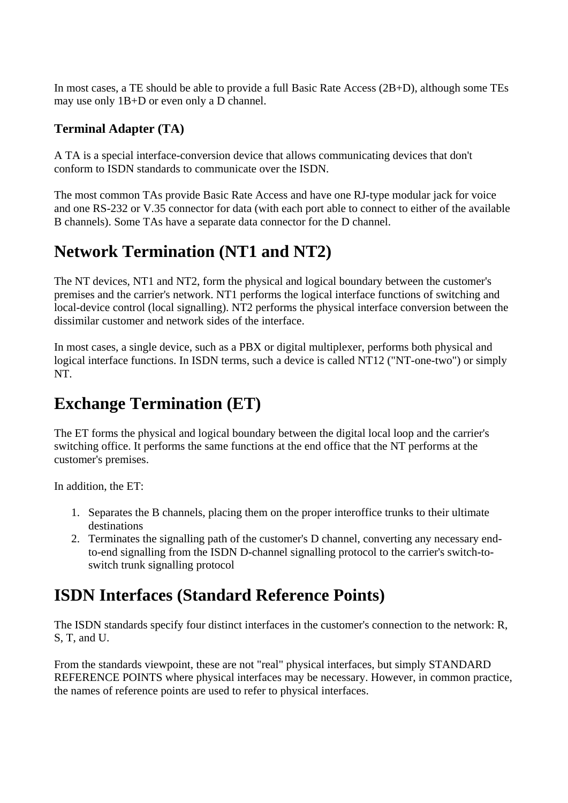In most cases, a TE should be able to provide a full Basic Rate Access (2B+D), although some TEs may use only 1B+D or even only a D channel.

# **Terminal Adapter (TA)**

A TA is a special interface-conversion device that allows communicating devices that don't conform to ISDN standards to communicate over the ISDN.

The most common TAs provide Basic Rate Access and have one RJ-type modular jack for voice and one RS-232 or V.35 connector for data (with each port able to connect to either of the available B channels). Some TAs have a separate data connector for the D channel.

# **Network Termination (NT1 and NT2)**

The NT devices, NT1 and NT2, form the physical and logical boundary between the customer's premises and the carrier's network. NT1 performs the logical interface functions of switching and local-device control (local signalling). NT2 performs the physical interface conversion between the dissimilar customer and network sides of the interface.

In most cases, a single device, such as a PBX or digital multiplexer, performs both physical and logical interface functions. In ISDN terms, such a device is called NT12 ("NT-one-two") or simply NT.

# **Exchange Termination (ET)**

The ET forms the physical and logical boundary between the digital local loop and the carrier's switching office. It performs the same functions at the end office that the NT performs at the customer's premises.

In addition, the ET:

- 1. Separates the B channels, placing them on the proper interoffice trunks to their ultimate destinations
- 2. Terminates the signalling path of the customer's D channel, converting any necessary endto-end signalling from the ISDN D-channel signalling protocol to the carrier's switch-toswitch trunk signalling protocol

# **ISDN Interfaces (Standard Reference Points)**

The ISDN standards specify four distinct interfaces in the customer's connection to the network: R, S, T, and U.

From the standards viewpoint, these are not "real" physical interfaces, but simply STANDARD REFERENCE POINTS where physical interfaces may be necessary. However, in common practice, the names of reference points are used to refer to physical interfaces.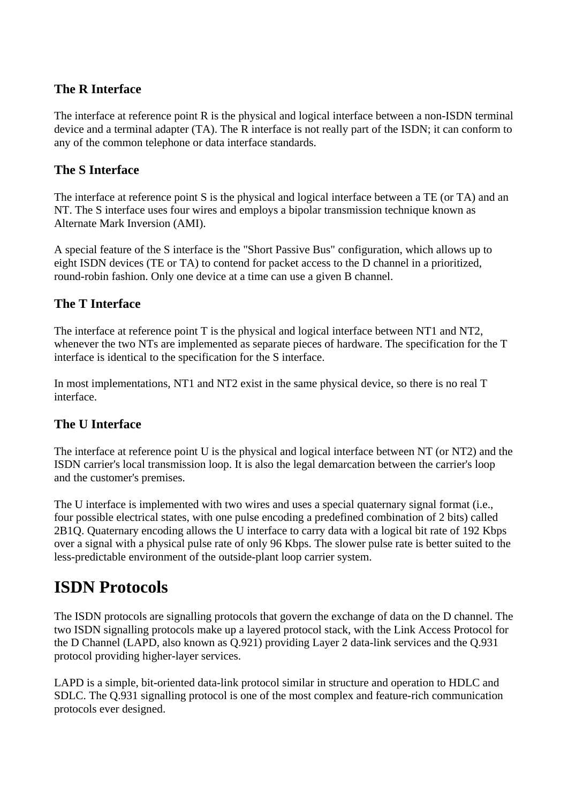### **The R Interface**

The interface at reference point R is the physical and logical interface between a non-ISDN terminal device and a terminal adapter (TA). The R interface is not really part of the ISDN; it can conform to any of the common telephone or data interface standards.

### **The S Interface**

The interface at reference point S is the physical and logical interface between a TE (or TA) and an NT. The S interface uses four wires and employs a bipolar transmission technique known as Alternate Mark Inversion (AMI).

A special feature of the S interface is the "Short Passive Bus" configuration, which allows up to eight ISDN devices (TE or TA) to contend for packet access to the D channel in a prioritized, round-robin fashion. Only one device at a time can use a given B channel.

# **The T Interface**

The interface at reference point T is the physical and logical interface between NT1 and NT2, whenever the two NTs are implemented as separate pieces of hardware. The specification for the T interface is identical to the specification for the S interface.

In most implementations, NT1 and NT2 exist in the same physical device, so there is no real T interface.

# **The U Interface**

The interface at reference point U is the physical and logical interface between NT (or NT2) and the ISDN carrier's local transmission loop. It is also the legal demarcation between the carrier's loop and the customer's premises.

The U interface is implemented with two wires and uses a special quaternary signal format (i.e., four possible electrical states, with one pulse encoding a predefined combination of 2 bits) called 2B1Q. Quaternary encoding allows the U interface to carry data with a logical bit rate of 192 Kbps over a signal with a physical pulse rate of only 96 Kbps. The slower pulse rate is better suited to the less-predictable environment of the outside-plant loop carrier system.

# **ISDN Protocols**

The ISDN protocols are signalling protocols that govern the exchange of data on the D channel. The two ISDN signalling protocols make up a layered protocol stack, with the Link Access Protocol for the D Channel (LAPD, also known as Q.921) providing Layer 2 data-link services and the Q.931 protocol providing higher-layer services.

LAPD is a simple, bit-oriented data-link protocol similar in structure and operation to HDLC and SDLC. The Q.931 signalling protocol is one of the most complex and feature-rich communication protocols ever designed.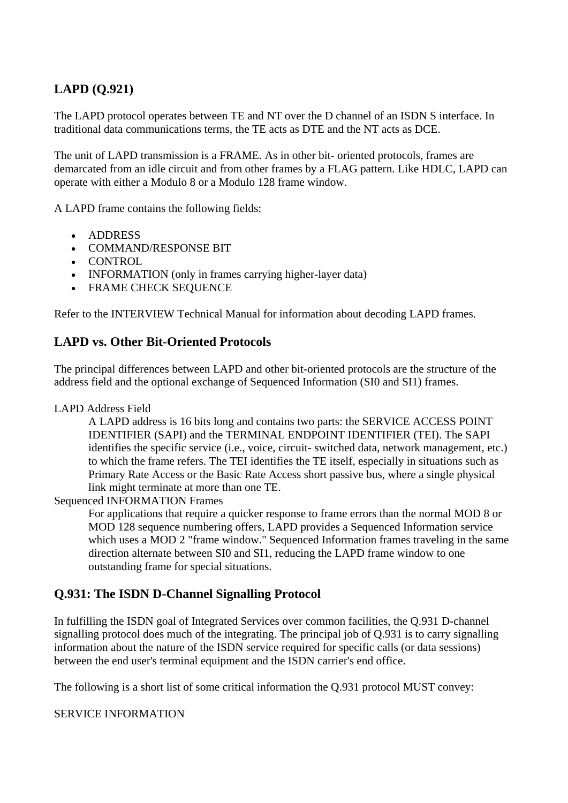# **LAPD (Q.921)**

The LAPD protocol operates between TE and NT over the D channel of an ISDN S interface. In traditional data communications terms, the TE acts as DTE and the NT acts as DCE.

The unit of LAPD transmission is a FRAME. As in other bit- oriented protocols, frames are demarcated from an idle circuit and from other frames by a FLAG pattern. Like HDLC, LAPD can operate with either a Modulo 8 or a Modulo 128 frame window.

A LAPD frame contains the following fields:

- ADDRESS
- COMMAND/RESPONSE BIT
- CONTROL
- INFORMATION (only in frames carrying higher-layer data)
- FRAME CHECK SEQUENCE

Refer to the INTERVIEW Technical Manual for information about decoding LAPD frames.

### **LAPD vs. Other Bit-Oriented Protocols**

The principal differences between LAPD and other bit-oriented protocols are the structure of the address field and the optional exchange of Sequenced Information (SI0 and SI1) frames.

#### LAPD Address Field

A LAPD address is 16 bits long and contains two parts: the SERVICE ACCESS POINT IDENTIFIER (SAPI) and the TERMINAL ENDPOINT IDENTIFIER (TEI). The SAPI identifies the specific service (i.e., voice, circuit- switched data, network management, etc.) to which the frame refers. The TEI identifies the TE itself, especially in situations such as Primary Rate Access or the Basic Rate Access short passive bus, where a single physical link might terminate at more than one TE.

Sequenced INFORMATION Frames

For applications that require a quicker response to frame errors than the normal MOD 8 or MOD 128 sequence numbering offers, LAPD provides a Sequenced Information service which uses a MOD 2 "frame window." Sequenced Information frames traveling in the same direction alternate between SI0 and SI1, reducing the LAPD frame window to one outstanding frame for special situations.

### **Q.931: The ISDN D-Channel Signalling Protocol**

In fulfilling the ISDN goal of Integrated Services over common facilities, the Q.931 D-channel signalling protocol does much of the integrating. The principal job of Q.931 is to carry signalling information about the nature of the ISDN service required for specific calls (or data sessions) between the end user's terminal equipment and the ISDN carrier's end office.

The following is a short list of some critical information the Q.931 protocol MUST convey:

#### SERVICE INFORMATION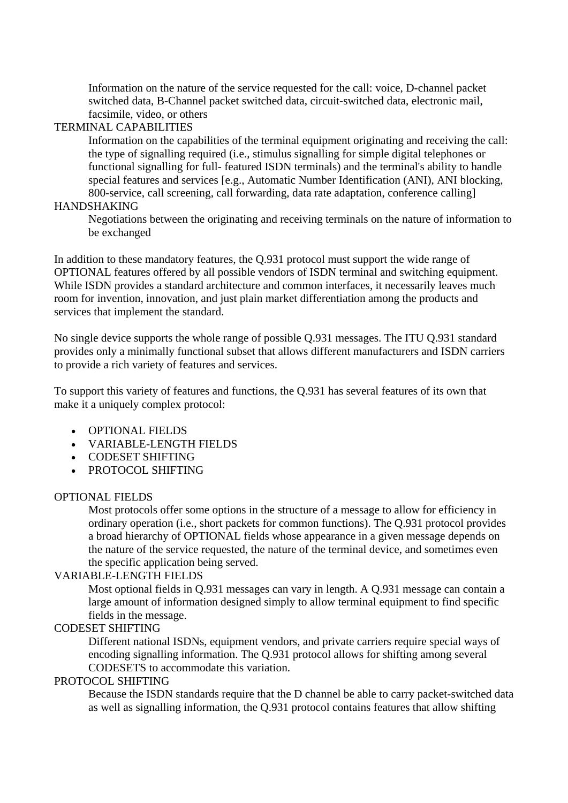Information on the nature of the service requested for the call: voice, D-channel packet switched data, B-Channel packet switched data, circuit-switched data, electronic mail, facsimile, video, or others

### TERMINAL CAPABILITIES

Information on the capabilities of the terminal equipment originating and receiving the call: the type of signalling required (i.e., stimulus signalling for simple digital telephones or functional signalling for full- featured ISDN terminals) and the terminal's ability to handle special features and services [e.g., Automatic Number Identification (ANI), ANI blocking, 800-service, call screening, call forwarding, data rate adaptation, conference calling]

#### HANDSHAKING

Negotiations between the originating and receiving terminals on the nature of information to be exchanged

In addition to these mandatory features, the Q.931 protocol must support the wide range of OPTIONAL features offered by all possible vendors of ISDN terminal and switching equipment. While ISDN provides a standard architecture and common interfaces, it necessarily leaves much room for invention, innovation, and just plain market differentiation among the products and services that implement the standard.

No single device supports the whole range of possible Q.931 messages. The ITU Q.931 standard provides only a minimally functional subset that allows different manufacturers and ISDN carriers to provide a rich variety of features and services.

To support this variety of features and functions, the Q.931 has several features of its own that make it a uniquely complex protocol:

- OPTIONAL FIELDS
- VARIABLE-LENGTH FIELDS
- CODESET SHIFTING
- PROTOCOL SHIFTING

#### OPTIONAL FIELDS

Most protocols offer some options in the structure of a message to allow for efficiency in ordinary operation (i.e., short packets for common functions). The Q.931 protocol provides a broad hierarchy of OPTIONAL fields whose appearance in a given message depends on the nature of the service requested, the nature of the terminal device, and sometimes even the specific application being served.

#### VARIABLE-LENGTH FIELDS

Most optional fields in Q.931 messages can vary in length. A Q.931 message can contain a large amount of information designed simply to allow terminal equipment to find specific fields in the message.

#### CODESET SHIFTING

Different national ISDNs, equipment vendors, and private carriers require special ways of encoding signalling information. The Q.931 protocol allows for shifting among several CODESETS to accommodate this variation.

#### PROTOCOL SHIFTING

Because the ISDN standards require that the D channel be able to carry packet-switched data as well as signalling information, the Q.931 protocol contains features that allow shifting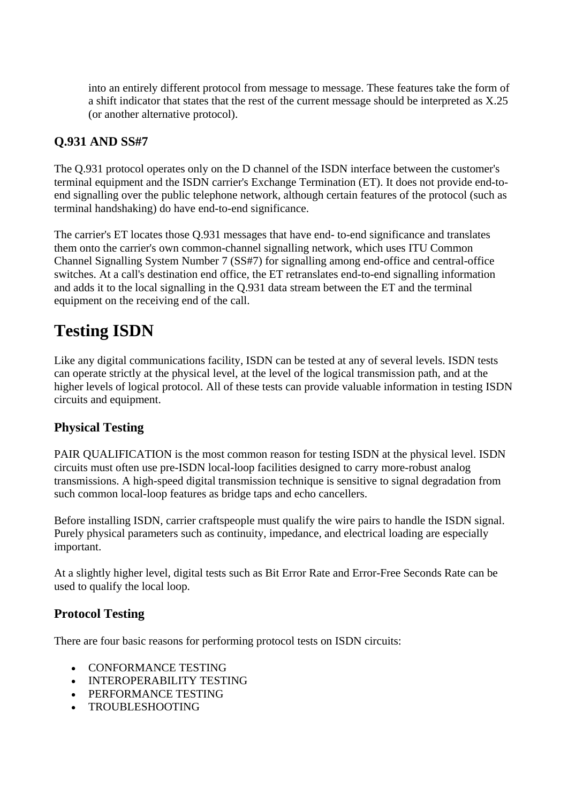into an entirely different protocol from message to message. These features take the form of a shift indicator that states that the rest of the current message should be interpreted as X.25 (or another alternative protocol).

# **Q.931 AND SS#7**

The Q.931 protocol operates only on the D channel of the ISDN interface between the customer's terminal equipment and the ISDN carrier's Exchange Termination (ET). It does not provide end-toend signalling over the public telephone network, although certain features of the protocol (such as terminal handshaking) do have end-to-end significance.

The carrier's ET locates those Q.931 messages that have end- to-end significance and translates them onto the carrier's own common-channel signalling network, which uses ITU Common Channel Signalling System Number 7 (SS#7) for signalling among end-office and central-office switches. At a call's destination end office, the ET retranslates end-to-end signalling information and adds it to the local signalling in the Q.931 data stream between the ET and the terminal equipment on the receiving end of the call.

# **Testing ISDN**

Like any digital communications facility, ISDN can be tested at any of several levels. ISDN tests can operate strictly at the physical level, at the level of the logical transmission path, and at the higher levels of logical protocol. All of these tests can provide valuable information in testing ISDN circuits and equipment.

# **Physical Testing**

PAIR QUALIFICATION is the most common reason for testing ISDN at the physical level. ISDN circuits must often use pre-ISDN local-loop facilities designed to carry more-robust analog transmissions. A high-speed digital transmission technique is sensitive to signal degradation from such common local-loop features as bridge taps and echo cancellers.

Before installing ISDN, carrier craftspeople must qualify the wire pairs to handle the ISDN signal. Purely physical parameters such as continuity, impedance, and electrical loading are especially important.

At a slightly higher level, digital tests such as Bit Error Rate and Error-Free Seconds Rate can be used to qualify the local loop.

# **Protocol Testing**

There are four basic reasons for performing protocol tests on ISDN circuits:

- CONFORMANCE TESTING
- INTEROPERABILITY TESTING
- PERFORMANCE TESTING
- TROUBLESHOOTING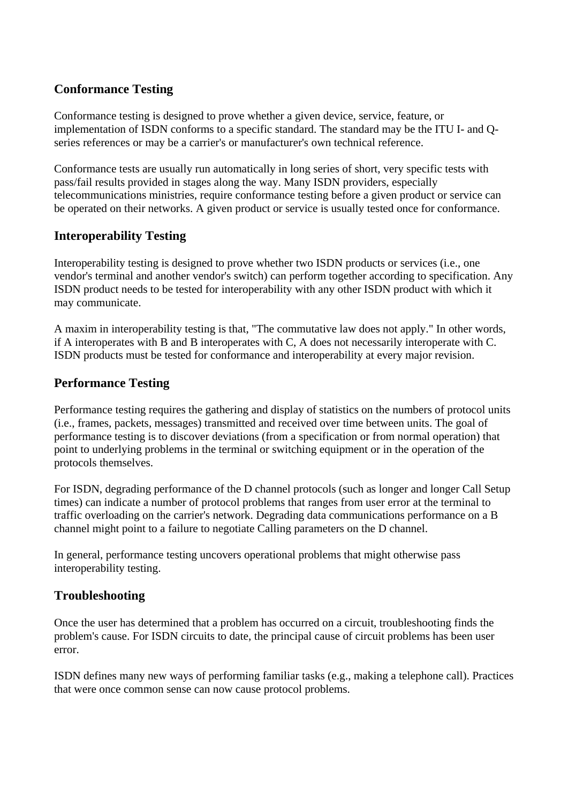# **Conformance Testing**

Conformance testing is designed to prove whether a given device, service, feature, or implementation of ISDN conforms to a specific standard. The standard may be the ITU I- and Qseries references or may be a carrier's or manufacturer's own technical reference.

Conformance tests are usually run automatically in long series of short, very specific tests with pass/fail results provided in stages along the way. Many ISDN providers, especially telecommunications ministries, require conformance testing before a given product or service can be operated on their networks. A given product or service is usually tested once for conformance.

### **Interoperability Testing**

Interoperability testing is designed to prove whether two ISDN products or services (i.e., one vendor's terminal and another vendor's switch) can perform together according to specification. Any ISDN product needs to be tested for interoperability with any other ISDN product with which it may communicate.

A maxim in interoperability testing is that, "The commutative law does not apply." In other words, if A interoperates with B and B interoperates with C, A does not necessarily interoperate with C. ISDN products must be tested for conformance and interoperability at every major revision.

### **Performance Testing**

Performance testing requires the gathering and display of statistics on the numbers of protocol units (i.e., frames, packets, messages) transmitted and received over time between units. The goal of performance testing is to discover deviations (from a specification or from normal operation) that point to underlying problems in the terminal or switching equipment or in the operation of the protocols themselves.

For ISDN, degrading performance of the D channel protocols (such as longer and longer Call Setup times) can indicate a number of protocol problems that ranges from user error at the terminal to traffic overloading on the carrier's network. Degrading data communications performance on a B channel might point to a failure to negotiate Calling parameters on the D channel.

In general, performance testing uncovers operational problems that might otherwise pass interoperability testing.

# **Troubleshooting**

Once the user has determined that a problem has occurred on a circuit, troubleshooting finds the problem's cause. For ISDN circuits to date, the principal cause of circuit problems has been user error.

ISDN defines many new ways of performing familiar tasks (e.g., making a telephone call). Practices that were once common sense can now cause protocol problems.